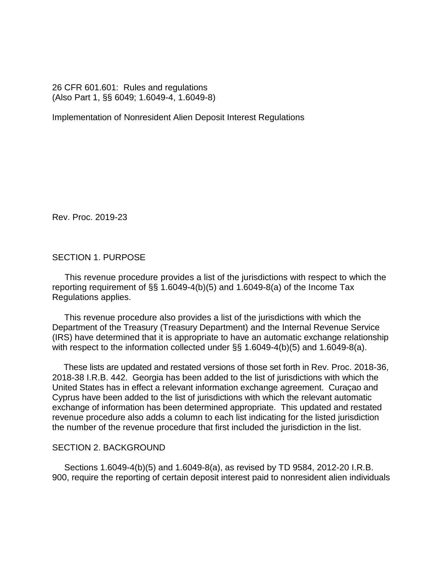26 CFR 601.601: Rules and regulations (Also Part 1, §§ 6049; 1.6049-4, 1.6049-8)

Implementation of Nonresident Alien Deposit Interest Regulations

Rev. Proc. 2019-23

SECTION 1. PURPOSE

 This revenue procedure provides a list of the jurisdictions with respect to which the reporting requirement of §§ 1.6049-4(b)(5) and 1.6049-8(a) of the Income Tax Regulations applies.

 This revenue procedure also provides a list of the jurisdictions with which the Department of the Treasury (Treasury Department) and the Internal Revenue Service (IRS) have determined that it is appropriate to have an automatic exchange relationship with respect to the information collected under §§ 1.6049-4(b)(5) and 1.6049-8(a).

 These lists are updated and restated versions of those set forth in Rev. Proc. 2018-36, 2018-38 I.R.B. 442. Georgia has been added to the list of jurisdictions with which the United States has in effect a relevant information exchange agreement. Curaçao and Cyprus have been added to the list of jurisdictions with which the relevant automatic exchange of information has been determined appropriate. This updated and restated revenue procedure also adds a column to each list indicating for the listed jurisdiction the number of the revenue procedure that first included the jurisdiction in the list.

#### SECTION 2. BACKGROUND

 Sections 1.6049-4(b)(5) and 1.6049-8(a), as revised by TD 9584, 2012-20 I.R.B. 900, require the reporting of certain deposit interest paid to nonresident alien individuals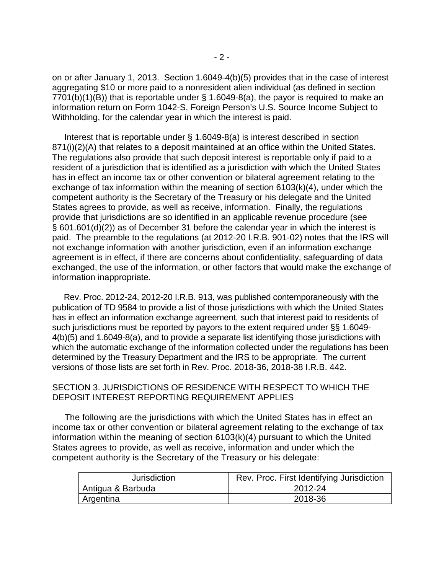on or after January 1, 2013. Section 1.6049-4(b)(5) provides that in the case of interest aggregating \$10 or more paid to a nonresident alien individual (as defined in section  $7701(b)(1)(B)$  that is reportable under § 1.6049-8(a), the payor is required to make an information return on Form 1042-S, Foreign Person's U.S. Source Income Subject to Withholding, for the calendar year in which the interest is paid.

 Interest that is reportable under § 1.6049-8(a) is interest described in section 871(i)(2)(A) that relates to a deposit maintained at an office within the United States. The regulations also provide that such deposit interest is reportable only if paid to a resident of a jurisdiction that is identified as a jurisdiction with which the United States has in effect an income tax or other convention or bilateral agreement relating to the exchange of tax information within the meaning of section 6103(k)(4), under which the competent authority is the Secretary of the Treasury or his delegate and the United States agrees to provide, as well as receive, information. Finally, the regulations provide that jurisdictions are so identified in an applicable revenue procedure (see § 601.601(d)(2)) as of December 31 before the calendar year in which the interest is paid. The preamble to the regulations (at 2012-20 I.R.B. 901-02) notes that the IRS will not exchange information with another jurisdiction, even if an information exchange agreement is in effect, if there are concerns about confidentiality, safeguarding of data exchanged, the use of the information, or other factors that would make the exchange of information inappropriate.

 Rev. Proc. 2012-24, 2012-20 I.R.B. 913, was published contemporaneously with the publication of TD 9584 to provide a list of those jurisdictions with which the United States has in effect an information exchange agreement, such that interest paid to residents of such jurisdictions must be reported by payors to the extent required under §§ 1.6049- 4(b)(5) and 1.6049-8(a), and to provide a separate list identifying those jurisdictions with which the automatic exchange of the information collected under the regulations has been determined by the Treasury Department and the IRS to be appropriate. The current versions of those lists are set forth in Rev. Proc. 2018-36, 2018-38 I.R.B. 442.

### SECTION 3. JURISDICTIONS OF RESIDENCE WITH RESPECT TO WHICH THE DEPOSIT INTEREST REPORTING REQUIREMENT APPLIES

 The following are the jurisdictions with which the United States has in effect an income tax or other convention or bilateral agreement relating to the exchange of tax information within the meaning of section 6103(k)(4) pursuant to which the United States agrees to provide, as well as receive, information and under which the competent authority is the Secretary of the Treasury or his delegate:

| <b>Jurisdiction</b> | Rev. Proc. First Identifying Jurisdiction |
|---------------------|-------------------------------------------|
| Antigua & Barbuda   | 2012-24                                   |
| Argentina           | 2018-36                                   |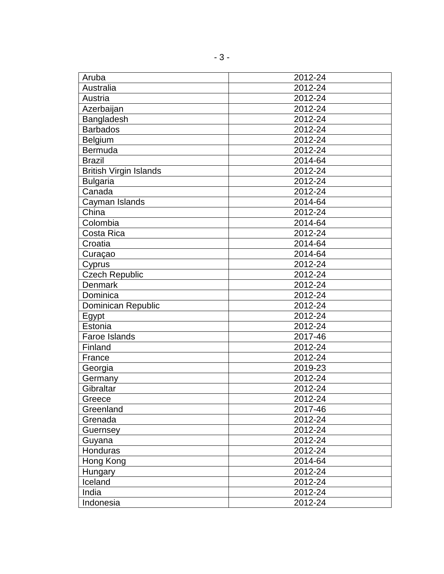| Aruba                         | 2012-24 |
|-------------------------------|---------|
| Australia                     | 2012-24 |
| Austria                       | 2012-24 |
| Azerbaijan                    | 2012-24 |
| Bangladesh                    | 2012-24 |
| <b>Barbados</b>               | 2012-24 |
| <b>Belgium</b>                | 2012-24 |
| Bermuda                       | 2012-24 |
| <b>Brazil</b>                 | 2014-64 |
| <b>British Virgin Islands</b> | 2012-24 |
| <b>Bulgaria</b>               | 2012-24 |
| Canada                        | 2012-24 |
| Cayman Islands                | 2014-64 |
| China                         | 2012-24 |
| Colombia                      | 2014-64 |
| Costa Rica                    | 2012-24 |
| Croatia                       | 2014-64 |
| Curaçao                       | 2014-64 |
| Cyprus                        | 2012-24 |
| <b>Czech Republic</b>         | 2012-24 |
| <b>Denmark</b>                | 2012-24 |
| Dominica                      | 2012-24 |
| Dominican Republic            | 2012-24 |
| Egypt                         | 2012-24 |
| Estonia                       | 2012-24 |
| Faroe Islands                 | 2017-46 |
| Finland                       | 2012-24 |
| France                        | 2012-24 |
| Georgia                       | 2019-23 |
| Germany                       | 2012-24 |
| Gibraltar                     | 2012-24 |
| Greece                        | 2012-24 |
| Greenland                     | 2017-46 |
| Grenada                       | 2012-24 |
| Guernsey                      | 2012-24 |
| Guyana                        | 2012-24 |
| Honduras                      | 2012-24 |
| Hong Kong                     | 2014-64 |
| Hungary                       | 2012-24 |
| Iceland                       | 2012-24 |
| India                         | 2012-24 |
| Indonesia                     | 2012-24 |
|                               |         |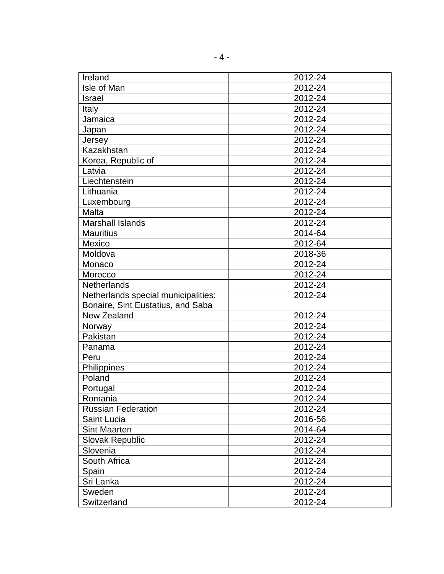| Ireland                             | 2012-24 |
|-------------------------------------|---------|
| Isle of Man                         | 2012-24 |
| <b>Israel</b>                       | 2012-24 |
| <b>Italy</b>                        | 2012-24 |
| Jamaica                             | 2012-24 |
| Japan                               | 2012-24 |
| Jersey                              | 2012-24 |
| Kazakhstan                          | 2012-24 |
| Korea, Republic of                  | 2012-24 |
| Latvia                              | 2012-24 |
| Liechtenstein                       | 2012-24 |
| Lithuania                           | 2012-24 |
| Luxembourg                          | 2012-24 |
| Malta                               | 2012-24 |
| <b>Marshall Islands</b>             | 2012-24 |
| <b>Mauritius</b>                    | 2014-64 |
| Mexico                              | 2012-64 |
| Moldova                             | 2018-36 |
| Monaco                              | 2012-24 |
| Morocco                             | 2012-24 |
| <b>Netherlands</b>                  | 2012-24 |
| Netherlands special municipalities: | 2012-24 |
| Bonaire, Sint Eustatius, and Saba   |         |
| New Zealand                         | 2012-24 |
| Norway                              | 2012-24 |
| Pakistan                            | 2012-24 |
| Panama                              | 2012-24 |
| Peru                                | 2012-24 |
| Philippines                         | 2012-24 |
| Poland                              | 2012-24 |
| Portugal                            | 2012-24 |
| Romania                             | 2012-24 |
| <b>Russian Federation</b>           | 2012-24 |
| <b>Saint Lucia</b>                  | 2016-56 |
| <b>Sint Maarten</b>                 | 2014-64 |
| <b>Slovak Republic</b>              | 2012-24 |
| Slovenia                            | 2012-24 |
| South Africa                        | 2012-24 |
| Spain                               | 2012-24 |
| Sri Lanka                           | 2012-24 |
| Sweden                              | 2012-24 |
| Switzerland                         | 2012-24 |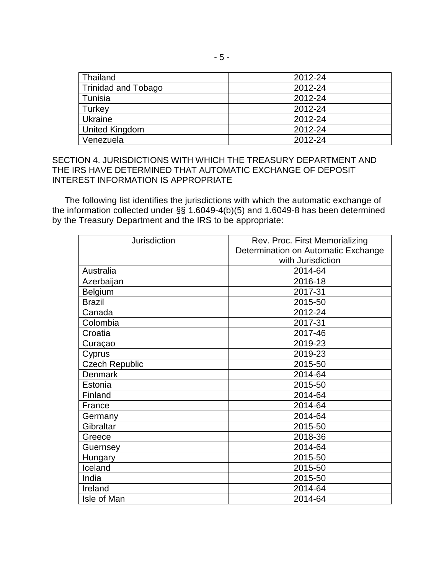| Thailand                   | 2012-24 |
|----------------------------|---------|
| <b>Trinidad and Tobago</b> | 2012-24 |
| Tunisia                    | 2012-24 |
| Turkey                     | 2012-24 |
| <b>Ukraine</b>             | 2012-24 |
| United Kingdom             | 2012-24 |
| Venezuela                  | 2012-24 |

# SECTION 4. JURISDICTIONS WITH WHICH THE TREASURY DEPARTMENT AND THE IRS HAVE DETERMINED THAT AUTOMATIC EXCHANGE OF DEPOSIT INTEREST INFORMATION IS APPROPRIATE

 The following list identifies the jurisdictions with which the automatic exchange of the information collected under §§ 1.6049-4(b)(5) and 1.6049-8 has been determined by the Treasury Department and the IRS to be appropriate:

| <b>Jurisdiction</b>   | Rev. Proc. First Memorializing      |
|-----------------------|-------------------------------------|
|                       | Determination on Automatic Exchange |
|                       | with Jurisdiction                   |
| Australia             | 2014-64                             |
| Azerbaijan            | 2016-18                             |
| Belgium               | 2017-31                             |
| <b>Brazil</b>         | 2015-50                             |
| Canada                | 2012-24                             |
| Colombia              | 2017-31                             |
| Croatia               | 2017-46                             |
| Curaçao               | 2019-23                             |
| Cyprus                | 2019-23                             |
| <b>Czech Republic</b> | 2015-50                             |
| <b>Denmark</b>        | 2014-64                             |
| Estonia               | 2015-50                             |
| Finland               | 2014-64                             |
| France                | 2014-64                             |
| Germany               | 2014-64                             |
| Gibraltar             | 2015-50                             |
| Greece                | 2018-36                             |
| Guernsey              | 2014-64                             |
| Hungary               | 2015-50                             |
| Iceland               | 2015-50                             |
| India                 | 2015-50                             |
| Ireland               | 2014-64                             |
| Isle of Man           | 2014-64                             |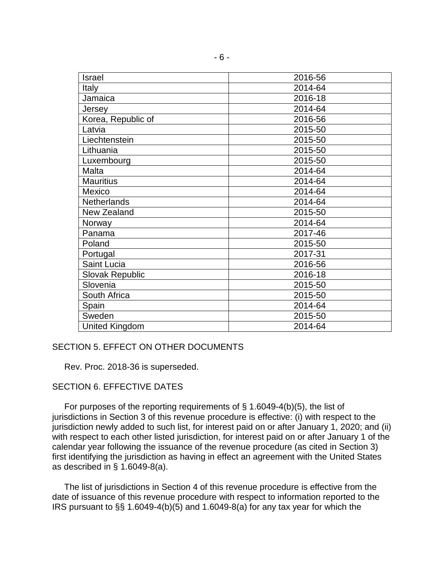| Israel                 | 2016-56 |
|------------------------|---------|
| Italy                  | 2014-64 |
| Jamaica                | 2016-18 |
| Jersey                 | 2014-64 |
| Korea, Republic of     | 2016-56 |
| Latvia                 | 2015-50 |
| Liechtenstein          | 2015-50 |
| Lithuania              | 2015-50 |
| Luxembourg             | 2015-50 |
| Malta                  | 2014-64 |
| <b>Mauritius</b>       | 2014-64 |
| Mexico                 | 2014-64 |
| <b>Netherlands</b>     | 2014-64 |
| New Zealand            | 2015-50 |
| Norway                 | 2014-64 |
| Panama                 | 2017-46 |
| Poland                 | 2015-50 |
| Portugal               | 2017-31 |
| Saint Lucia            | 2016-56 |
| <b>Slovak Republic</b> | 2016-18 |
| Slovenia               | 2015-50 |
| South Africa           | 2015-50 |
| Spain                  | 2014-64 |
| Sweden                 | 2015-50 |
| <b>United Kingdom</b>  | 2014-64 |

#### SECTION 5. EFFECT ON OTHER DOCUMENTS

Rev. Proc. 2018-36 is superseded.

# SECTION 6. EFFECTIVE DATES

 For purposes of the reporting requirements of § 1.6049-4(b)(5), the list of jurisdictions in Section 3 of this revenue procedure is effective: (i) with respect to the jurisdiction newly added to such list, for interest paid on or after January 1, 2020; and (ii) with respect to each other listed jurisdiction, for interest paid on or after January 1 of the calendar year following the issuance of the revenue procedure (as cited in Section 3) first identifying the jurisdiction as having in effect an agreement with the United States as described in § 1.6049-8(a).

 The list of jurisdictions in Section 4 of this revenue procedure is effective from the date of issuance of this revenue procedure with respect to information reported to the IRS pursuant to §§ 1.6049-4(b)(5) and 1.6049-8(a) for any tax year for which the